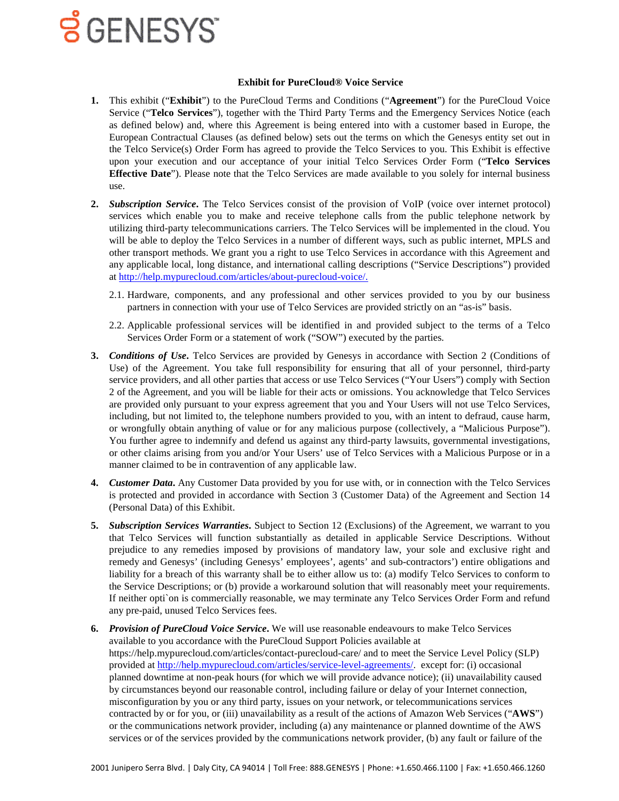#### **Exhibit for PureCloud® Voice Service**

- **1.** This exhibit ("**Exhibit**") to the PureCloud Terms and Conditions ("**Agreement**") for the PureCloud Voice Service ("**Telco Services**"), together with the Third Party Terms and the Emergency Services Notice (each as defined below) and, where this Agreement is being entered into with a customer based in Europe, the European Contractual Clauses (as defined below) sets out the terms on which the Genesys entity set out in the Telco Service(s) Order Form has agreed to provide the Telco Services to you. This Exhibit is effective upon your execution and our acceptance of your initial Telco Services Order Form ("**Telco Services Effective Date**"). Please note that the Telco Services are made available to you solely for internal business use.
- **2.** *Subscription Service***.** The Telco Services consist of the provision of VoIP (voice over internet protocol) services which enable you to make and receive telephone calls from the public telephone network by utilizing third-party telecommunications carriers. The Telco Services will be implemented in the cloud. You will be able to deploy the Telco Services in a number of different ways, such as public internet, MPLS and other transport methods. We grant you a right to use Telco Services in accordance with this Agreement and any applicable local, long distance, and international calling descriptions ("Service Descriptions") provided a[t http://help.mypurecloud.com/articles/about-purecloud-voice/.](http://help.mypurecloud.com/articles/about-purecloud-voice/)
	- 2.1. Hardware, components, and any professional and other services provided to you by our business partners in connection with your use of Telco Services are provided strictly on an "as-is" basis.
	- 2.2. Applicable professional services will be identified in and provided subject to the terms of a Telco Services Order Form or a statement of work ("SOW") executed by the parties.
- **3.** *Conditions of Use***.** Telco Services are provided by Genesys in accordance with Section 2 (Conditions of Use) of the Agreement. You take full responsibility for ensuring that all of your personnel, third-party service providers, and all other parties that access or use Telco Services ("Your Users") comply with Section 2 of the Agreement, and you will be liable for their acts or omissions. You acknowledge that Telco Services are provided only pursuant to your express agreement that you and Your Users will not use Telco Services, including, but not limited to, the telephone numbers provided to you, with an intent to defraud, cause harm, or wrongfully obtain anything of value or for any malicious purpose (collectively, a "Malicious Purpose"). You further agree to indemnify and defend us against any third-party lawsuits, governmental investigations, or other claims arising from you and/or Your Users' use of Telco Services with a Malicious Purpose or in a manner claimed to be in contravention of any applicable law.
- **4.** *Customer Data***.** Any Customer Data provided by you for use with, or in connection with the Telco Services is protected and provided in accordance with Section 3 (Customer Data) of the Agreement and Section 14 (Personal Data) of this Exhibit.
- **5.** *Subscription Services Warranties***.** Subject to Section 12 (Exclusions) of the Agreement, we warrant to you that Telco Services will function substantially as detailed in applicable Service Descriptions. Without prejudice to any remedies imposed by provisions of mandatory law, your sole and exclusive right and remedy and Genesys' (including Genesys' employees', agents' and sub-contractors') entire obligations and liability for a breach of this warranty shall be to either allow us to: (a) modify Telco Services to conform to the Service Descriptions; or (b) provide a workaround solution that will reasonably meet your requirements. If neither opti`on is commercially reasonable, we may terminate any Telco Services Order Form and refund any pre-paid, unused Telco Services fees.
- **6.** *Provision of PureCloud Voice Service***.** We will use reasonable endeavours to make Telco Services available to you accordance with the PureCloud Support Policies available at https://help.mypurecloud.com/articles/contact-purecloud-care/ and to meet the Service Level Policy (SLP) provided at [http://help.mypurecloud.com/articles/service-level-agreements/.](http://help.mypurecloud.com/articles/service-level-agreements/) except for: (i) occasional planned downtime at non-peak hours (for which we will provide advance notice); (ii) unavailability caused by circumstances beyond our reasonable control, including failure or delay of your Internet connection, misconfiguration by you or any third party, issues on your network, or telecommunications services contracted by or for you, or (iii) unavailability as a result of the actions of Amazon Web Services ("**AWS**") or the communications network provider, including (a) any maintenance or planned downtime of the AWS services or of the services provided by the communications network provider, (b) any fault or failure of the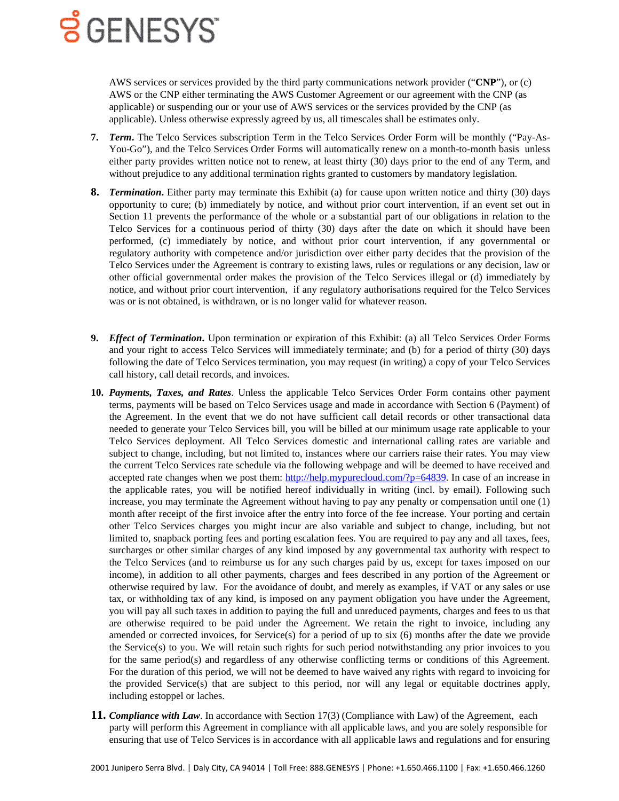AWS services or services provided by the third party communications network provider ("**CNP**"), or (c) AWS or the CNP either terminating the AWS Customer Agreement or our agreement with the CNP (as applicable) or suspending our or your use of AWS services or the services provided by the CNP (as applicable). Unless otherwise expressly agreed by us, all timescales shall be estimates only.

- **7.** *Term***.** The Telco Services subscription Term in the Telco Services Order Form will be monthly ("Pay-As-You-Go"), and the Telco Services Order Forms will automatically renew on a month-to-month basis unless either party provides written notice not to renew, at least thirty (30) days prior to the end of any Term, and without prejudice to any additional termination rights granted to customers by mandatory legislation.
- **8.** *Termination***.** Either party may terminate this Exhibit (a) for cause upon written notice and thirty (30) days opportunity to cure; (b) immediately by notice, and without prior court intervention, if an event set out in Section 11 prevents the performance of the whole or a substantial part of our obligations in relation to the Telco Services for a continuous period of thirty (30) days after the date on which it should have been performed, (c) immediately by notice, and without prior court intervention, if any governmental or regulatory authority with competence and/or jurisdiction over either party decides that the provision of the Telco Services under the Agreement is contrary to existing laws, rules or regulations or any decision, law or other official governmental order makes the provision of the Telco Services illegal or (d) immediately by notice, and without prior court intervention, if any regulatory authorisations required for the Telco Services was or is not obtained, is withdrawn, or is no longer valid for whatever reason.
- **9.** *Effect of Termination***.** Upon termination or expiration of this Exhibit: (a) all Telco Services Order Forms and your right to access Telco Services will immediately terminate; and (b) for a period of thirty (30) days following the date of Telco Services termination, you may request (in writing) a copy of your Telco Services call history, call detail records, and invoices.
- **10.** *Payments, Taxes, and Rates*. Unless the applicable Telco Services Order Form contains other payment terms, payments will be based on Telco Services usage and made in accordance with Section 6 (Payment) of the Agreement. In the event that we do not have sufficient call detail records or other transactional data needed to generate your Telco Services bill, you will be billed at our minimum usage rate applicable to your Telco Services deployment. All Telco Services domestic and international calling rates are variable and subject to change, including, but not limited to, instances where our carriers raise their rates. You may view the current Telco Services rate schedule via the following webpage and will be deemed to have received and accepted rate changes when we post them: [http://help.mypurecloud.com/?p=64839.](http://help.mypurecloud.com/?p=64839) In case of an increase in the applicable rates, you will be notified hereof individually in writing (incl. by email). Following such increase, you may terminate the Agreement without having to pay any penalty or compensation until one (1) month after receipt of the first invoice after the entry into force of the fee increase. Your porting and certain other Telco Services charges you might incur are also variable and subject to change, including, but not limited to, snapback porting fees and porting escalation fees. You are required to pay any and all taxes, fees, surcharges or other similar charges of any kind imposed by any governmental tax authority with respect to the Telco Services (and to reimburse us for any such charges paid by us, except for taxes imposed on our income), in addition to all other payments, charges and fees described in any portion of the Agreement or otherwise required by law. For the avoidance of doubt, and merely as examples, if VAT or any sales or use tax, or withholding tax of any kind, is imposed on any payment obligation you have under the Agreement, you will pay all such taxes in addition to paying the full and unreduced payments, charges and fees to us that are otherwise required to be paid under the Agreement. We retain the right to invoice, including any amended or corrected invoices, for Service(s) for a period of up to six (6) months after the date we provide the Service(s) to you. We will retain such rights for such period notwithstanding any prior invoices to you for the same period(s) and regardless of any otherwise conflicting terms or conditions of this Agreement. For the duration of this period, we will not be deemed to have waived any rights with regard to invoicing for the provided Service(s) that are subject to this period, nor will any legal or equitable doctrines apply, including estoppel or laches.
- **11.** *Compliance with Law*. In accordance with Section 17(3) (Compliance with Law) of the Agreement, each party will perform this Agreement in compliance with all applicable laws, and you are solely responsible for ensuring that use of Telco Services is in accordance with all applicable laws and regulations and for ensuring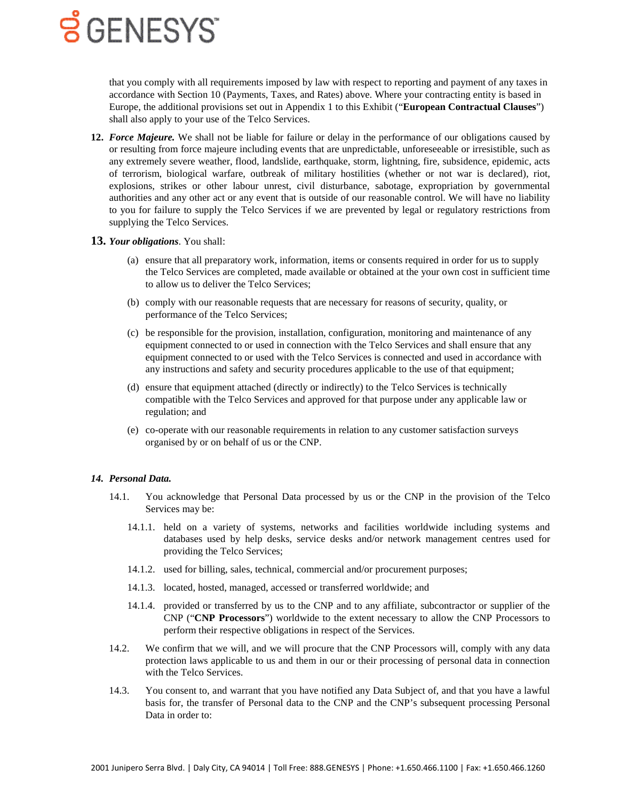

that you comply with all requirements imposed by law with respect to reporting and payment of any taxes in accordance with Section 10 (Payments, Taxes, and Rates) above. Where your contracting entity is based in Europe, the additional provisions set out in Appendix 1 to this Exhibit ("**European Contractual Clauses**") shall also apply to your use of the Telco Services.

**12.** *Force Majeure.* We shall not be liable for failure or delay in the performance of our obligations caused by or resulting from force majeure including events that are unpredictable, unforeseeable or irresistible, such as any extremely severe weather, flood, landslide, earthquake, storm, lightning, fire, subsidence, epidemic, acts of terrorism, biological warfare, outbreak of military hostilities (whether or not war is declared), riot, explosions, strikes or other labour unrest, civil disturbance, sabotage, expropriation by governmental authorities and any other act or any event that is outside of our reasonable control. We will have no liability to you for failure to supply the Telco Services if we are prevented by legal or regulatory restrictions from supplying the Telco Services.

#### **13.** *Your obligations*. You shall:

- (a) ensure that all preparatory work, information, items or consents required in order for us to supply the Telco Services are completed, made available or obtained at the your own cost in sufficient time to allow us to deliver the Telco Services;
- (b) comply with our reasonable requests that are necessary for reasons of security, quality, or performance of the Telco Services;
- (c) be responsible for the provision, installation, configuration, monitoring and maintenance of any equipment connected to or used in connection with the Telco Services and shall ensure that any equipment connected to or used with the Telco Services is connected and used in accordance with any instructions and safety and security procedures applicable to the use of that equipment;
- (d) ensure that equipment attached (directly or indirectly) to the Telco Services is technically compatible with the Telco Services and approved for that purpose under any applicable law or regulation; and
- (e) co-operate with our reasonable requirements in relation to any customer satisfaction surveys organised by or on behalf of us or the CNP.

#### *14. Personal Data.*

- 14.1. You acknowledge that Personal Data processed by us or the CNP in the provision of the Telco Services may be:
	- 14.1.1. held on a variety of systems, networks and facilities worldwide including systems and databases used by help desks, service desks and/or network management centres used for providing the Telco Services;
	- 14.1.2. used for billing, sales, technical, commercial and/or procurement purposes;
	- 14.1.3. located, hosted, managed, accessed or transferred worldwide; and
	- 14.1.4. provided or transferred by us to the CNP and to any affiliate, subcontractor or supplier of the CNP ("**CNP Processors**") worldwide to the extent necessary to allow the CNP Processors to perform their respective obligations in respect of the Services.
- 14.2. We confirm that we will, and we will procure that the CNP Processors will, comply with any data protection laws applicable to us and them in our or their processing of personal data in connection with the Telco Services.
- 14.3. You consent to, and warrant that you have notified any Data Subject of, and that you have a lawful basis for, the transfer of Personal data to the CNP and the CNP's subsequent processing Personal Data in order to: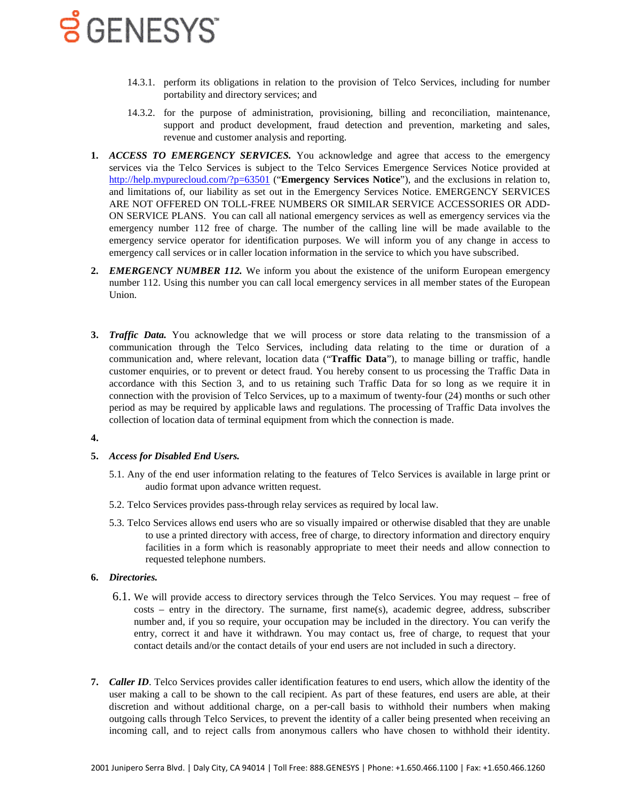- 14.3.1. perform its obligations in relation to the provision of Telco Services, including for number portability and directory services; and
- 14.3.2. for the purpose of administration, provisioning, billing and reconciliation, maintenance, support and product development, fraud detection and prevention, marketing and sales, revenue and customer analysis and reporting.
- **1.** *ACCESS TO EMERGENCY SERVICES.* You acknowledge and agree that access to the emergency services via the Telco Services is subject to the Telco Services Emergence Services Notice provided at <http://help.mypurecloud.com/?p=63501> ("**Emergency Services Notice**"), and the exclusions in relation to, and limitations of, our liability as set out in the Emergency Services Notice. EMERGENCY SERVICES ARE NOT OFFERED ON TOLL-FREE NUMBERS OR SIMILAR SERVICE ACCESSORIES OR ADD-ON SERVICE PLANS. You can call all national emergency services as well as emergency services via the emergency number 112 free of charge. The number of the calling line will be made available to the emergency service operator for identification purposes. We will inform you of any change in access to emergency call services or in caller location information in the service to which you have subscribed.
- **2.** *EMERGENCY NUMBER 112.* We inform you about the existence of the uniform European emergency number 112. Using this number you can call local emergency services in all member states of the European Union.
- <span id="page-3-0"></span>**3.** *Traffic Data.* You acknowledge that we will process or store data relating to the transmission of a communication through the Telco Services, including data relating to the time or duration of a communication and, where relevant, location data ("**Traffic Data**"), to manage billing or traffic, handle customer enquiries, or to prevent or detect fraud. You hereby consent to us processing the Traffic Data in accordance with this Section [3,](#page-3-0) and to us retaining such Traffic Data for so long as we require it in connection with the provision of Telco Services, up to a maximum of twenty-four (24) months or such other period as may be required by applicable laws and regulations. The processing of Traffic Data involves the collection of location data of terminal equipment from which the connection is made.

#### **4.**

#### **5.** *Access for Disabled End Users.*

- 5.1. Any of the end user information relating to the features of Telco Services is available in large print or audio format upon advance written request.
- 5.2. Telco Services provides pass-through relay services as required by local law.
- 5.3. Telco Services allows end users who are so visually impaired or otherwise disabled that they are unable to use a printed directory with access, free of charge, to directory information and directory enquiry facilities in a form which is reasonably appropriate to meet their needs and allow connection to requested telephone numbers.

#### **6.** *Directories.*

- 6.1. We will provide access to directory services through the Telco Services. You may request free of costs – entry in the directory. The surname, first name(s), academic degree, address, subscriber number and, if you so require, your occupation may be included in the directory. You can verify the entry, correct it and have it withdrawn. You may contact us, free of charge, to request that your contact details and/or the contact details of your end users are not included in such a directory.
- **7.** *Caller ID*. Telco Services provides caller identification features to end users, which allow the identity of the user making a call to be shown to the call recipient. As part of these features, end users are able, at their discretion and without additional charge, on a per-call basis to withhold their numbers when making outgoing calls through Telco Services, to prevent the identity of a caller being presented when receiving an incoming call, and to reject calls from anonymous callers who have chosen to withhold their identity.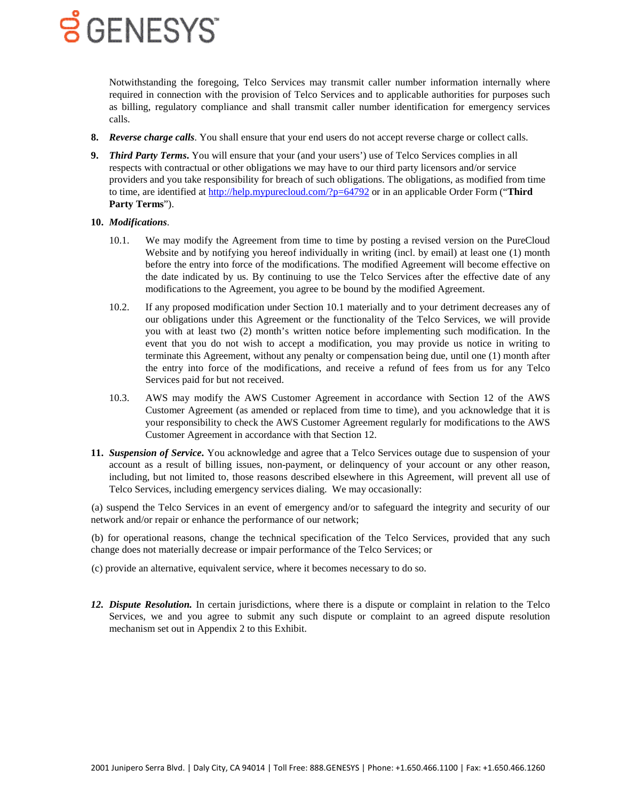

Notwithstanding the foregoing, Telco Services may transmit caller number information internally where required in connection with the provision of Telco Services and to applicable authorities for purposes such as billing, regulatory compliance and shall transmit caller number identification for emergency services calls.

- **8.** *Reverse charge calls*. You shall ensure that your end users do not accept reverse charge or collect calls.
- **9.** *Third Party Terms***.** You will ensure that your (and your users') use of Telco Services complies in all respects with contractual or other obligations we may have to our third party licensors and/or service providers and you take responsibility for breach of such obligations. The obligations, as modified from time to time, are identified at<http://help.mypurecloud.com/?p=64792> or in an applicable Order Form ("**Third Party Terms**").

#### <span id="page-4-0"></span>**10.** *Modifications*.

- 10.1. We may modify the Agreement from time to time by posting a revised version on the PureCloud Website and by notifying you hereof individually in writing (incl. by email) at least one (1) month before the entry into force of the modifications. The modified Agreement will become effective on the date indicated by us. By continuing to use the Telco Services after the effective date of any modifications to the Agreement, you agree to be bound by the modified Agreement.
- 10.2. If any proposed modification under Section [10.1](#page-4-0) materially and to your detriment decreases any of our obligations under this Agreement or the functionality of the Telco Services, we will provide you with at least two (2) month's written notice before implementing such modification. In the event that you do not wish to accept a modification, you may provide us notice in writing to terminate this Agreement, without any penalty or compensation being due, until one (1) month after the entry into force of the modifications, and receive a refund of fees from us for any Telco Services paid for but not received.
- 10.3. AWS may modify the AWS Customer Agreement in accordance with Section 12 of the AWS Customer Agreement (as amended or replaced from time to time), and you acknowledge that it is your responsibility to check the AWS Customer Agreement regularly for modifications to the AWS Customer Agreement in accordance with that Section 12.
- **11.** *Suspension of Service***.** You acknowledge and agree that a Telco Services outage due to suspension of your account as a result of billing issues, non-payment, or delinquency of your account or any other reason, including, but not limited to, those reasons described elsewhere in this Agreement, will prevent all use of Telco Services, including emergency services dialing. We may occasionally:

(a) suspend the Telco Services in an event of emergency and/or to safeguard the integrity and security of our network and/or repair or enhance the performance of our network;

(b) for operational reasons, change the technical specification of the Telco Services, provided that any such change does not materially decrease or impair performance of the Telco Services; or

- (c) provide an alternative, equivalent service, where it becomes necessary to do so.
- *12. Dispute Resolution.* In certain jurisdictions, where there is a dispute or complaint in relation to the Telco Services, we and you agree to submit any such dispute or complaint to an agreed dispute resolution mechanism set out in Appendix 2 to this Exhibit.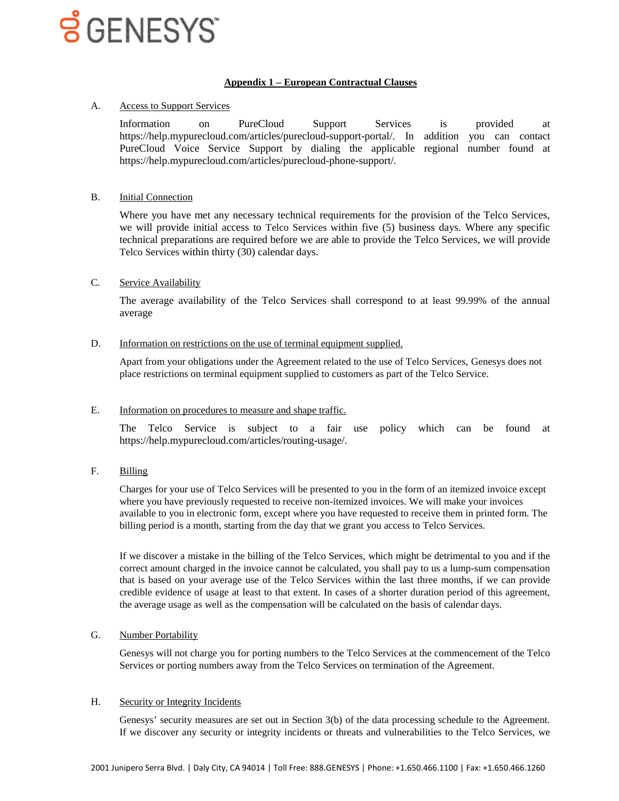#### **Appendix 1 – European Contractual Clauses**

#### A. Access to Support Services

Information on PureCloud Support Services is provided at https://help.mypurecloud.com/articles/purecloud-support-portal/. In addition you can contact PureCloud Voice Service Support by dialing the applicable regional number found at https://help.mypurecloud.com/articles/purecloud-phone-support/.

#### B. Initial Connection

Where you have met any necessary technical requirements for the provision of the Telco Services, we will provide initial access to Telco Services within five (5) business days. Where any specific technical preparations are required before we are able to provide the Telco Services, we will provide Telco Services within thirty (30) calendar days.

#### C. Service Availability

The average availability of the Telco Services shall correspond to at least 99.99% of the annual average

#### D. Information on restrictions on the use of terminal equipment supplied.

Apart from your obligations under the Agreement related to the use of Telco Services, Genesys does not place restrictions on terminal equipment supplied to customers as part of the Telco Service.

#### E. Information on procedures to measure and shape traffic.

The Telco Service is subject to a fair use policy which can be found at https://help.mypurecloud.com/articles/routing-usage/.

F. Billing

Charges for your use of Telco Services will be presented to you in the form of an itemized invoice except where you have previously requested to receive non-itemized invoices. We will make your invoices available to you in electronic form, except where you have requested to receive them in printed form. The billing period is a month, starting from the day that we grant you access to Telco Services.

If we discover a mistake in the billing of the Telco Services, which might be detrimental to you and if the correct amount charged in the invoice cannot be calculated, you shall pay to us a lump-sum compensation that is based on your average use of the Telco Services within the last three months, if we can provide credible evidence of usage at least to that extent. In cases of a shorter duration period of this agreement, the average usage as well as the compensation will be calculated on the basis of calendar days.

#### G. Number Portability

Genesys will not charge you for porting numbers to the Telco Services at the commencement of the Telco Services or porting numbers away from the Telco Services on termination of the Agreement.

#### H. Security or Integrity Incidents

Genesys' security measures are set out in Section 3(b) of the data processing schedule to the Agreement. If we discover any security or integrity incidents or threats and vulnerabilities to the Telco Services, we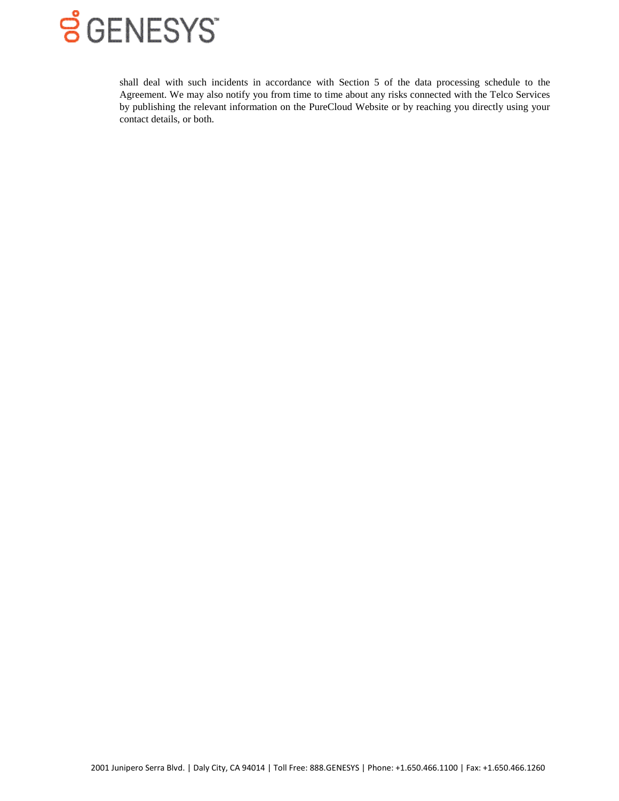

shall deal with such incidents in accordance with Section 5 of the data processing schedule to the Agreement. We may also notify you from time to time about any risks connected with the Telco Services by publishing the relevant information on the PureCloud Website or by reaching you directly using your contact details, or both.